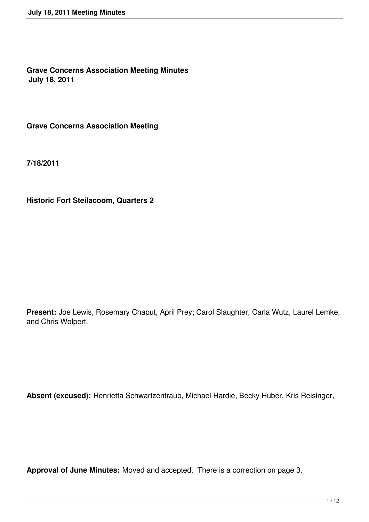**Grave Concerns Association Meeting Minutes July 18, 2011**

**Grave Concerns Association Meeting**

**7/18/2011**

**Historic Fort Steilacoom, Quarters 2**

**Present:** Joe Lewis, Rosemary Chaput, April Prey; Carol Slaughter, Carla Wutz, Laurel Lemke, and Chris Wolpert.

**Absent (excused):** Henrietta Schwartzentraub, Michael Hardie, Becky Huber, Kris Reisinger,

**Approval of June Minutes:** Moved and accepted. There is a correction on page 3.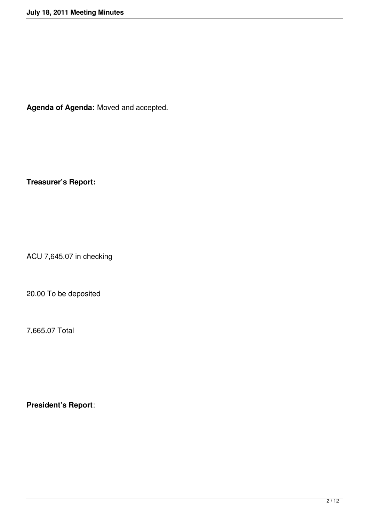**Agenda of Agenda:** Moved and accepted.

**Treasurer's Report:**

ACU 7,645.07 in checking

20.00 To be deposited

7,665.07 Total

**President's Report**: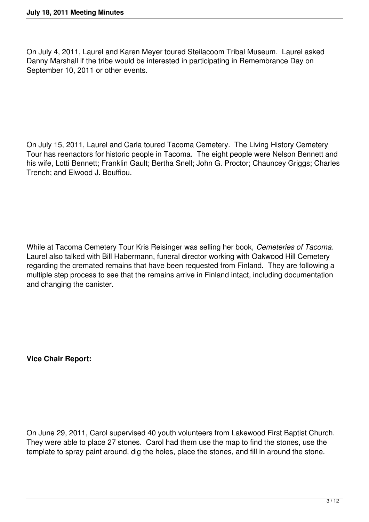On July 4, 2011, Laurel and Karen Meyer toured Steilacoom Tribal Museum. Laurel asked Danny Marshall if the tribe would be interested in participating in Remembrance Day on September 10, 2011 or other events.

On July 15, 2011, Laurel and Carla toured Tacoma Cemetery. The Living History Cemetery Tour has reenactors for historic people in Tacoma. The eight people were Nelson Bennett and his wife, Lotti Bennett; Franklin Gault; Bertha Snell; John G. Proctor; Chauncey Griggs; Charles Trench; and Elwood J. Bouffiou.

While at Tacoma Cemetery Tour Kris Reisinger was selling her book, *Cemeteries of Tacoma*. Laurel also talked with Bill Habermann, funeral director working with Oakwood Hill Cemetery regarding the cremated remains that have been requested from Finland. They are following a multiple step process to see that the remains arrive in Finland intact, including documentation and changing the canister.

**Vice Chair Report:**

On June 29, 2011, Carol supervised 40 youth volunteers from Lakewood First Baptist Church. They were able to place 27 stones. Carol had them use the map to find the stones, use the template to spray paint around, dig the holes, place the stones, and fill in around the stone.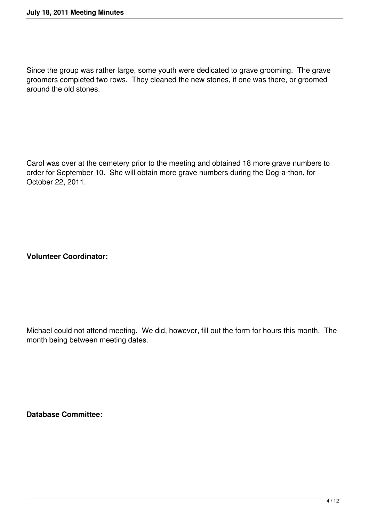Since the group was rather large, some youth were dedicated to grave grooming. The grave groomers completed two rows. They cleaned the new stones, if one was there, or groomed around the old stones.

Carol was over at the cemetery prior to the meeting and obtained 18 more grave numbers to order for September 10. She will obtain more grave numbers during the Dog-a-thon, for October 22, 2011.

**Volunteer Coordinator:**

Michael could not attend meeting. We did, however, fill out the form for hours this month. The month being between meeting dates.

**Database Committee:**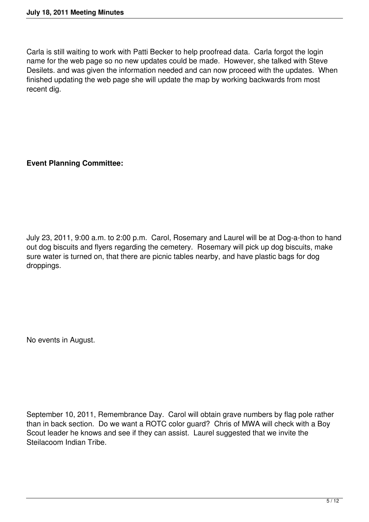Carla is still waiting to work with Patti Becker to help proofread data. Carla forgot the login name for the web page so no new updates could be made. However, she talked with Steve Desilets. and was given the information needed and can now proceed with the updates. When finished updating the web page she will update the map by working backwards from most recent dig.

**Event Planning Committee:**

July 23, 2011, 9:00 a.m. to 2:00 p.m. Carol, Rosemary and Laurel will be at Dog-a-thon to hand out dog biscuits and flyers regarding the cemetery. Rosemary will pick up dog biscuits, make sure water is turned on, that there are picnic tables nearby, and have plastic bags for dog droppings.

No events in August.

September 10, 2011, Remembrance Day. Carol will obtain grave numbers by flag pole rather than in back section. Do we want a ROTC color guard? Chris of MWA will check with a Boy Scout leader he knows and see if they can assist. Laurel suggested that we invite the Steilacoom Indian Tribe.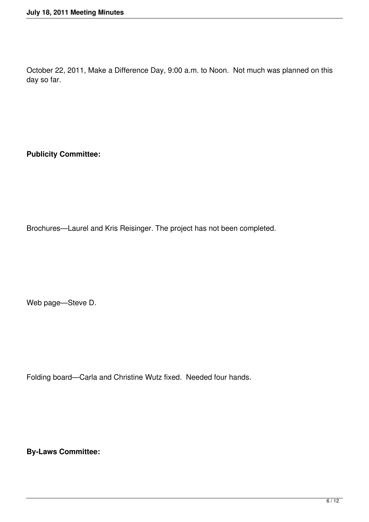October 22, 2011, Make a Difference Day, 9:00 a.m. to Noon. Not much was planned on this day so far.

**Publicity Committee:**

Brochures—Laurel and Kris Reisinger. The project has not been completed.

Web page—Steve D.

Folding board—Carla and Christine Wutz fixed. Needed four hands.

**By-Laws Committee:**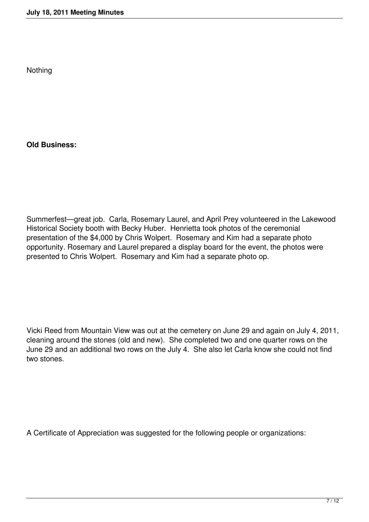Nothing

**Old Business:**

Summerfest—great job. Carla, Rosemary Laurel, and April Prey volunteered in the Lakewood Historical Society booth with Becky Huber. Henrietta took photos of the ceremonial presentation of the \$4,000 by Chris Wolpert. Rosemary and Kim had a separate photo opportunity. Rosemary and Laurel prepared a display board for the event, the photos were presented to Chris Wolpert. Rosemary and Kim had a separate photo op.

Vicki Reed from Mountain View was out at the cemetery on June 29 and again on July 4, 2011, cleaning around the stones (old and new). She completed two and one quarter rows on the June 29 and an additional two rows on the July 4. She also let Carla know she could not find two stones.

A Certificate of Appreciation was suggested for the following people or organizations: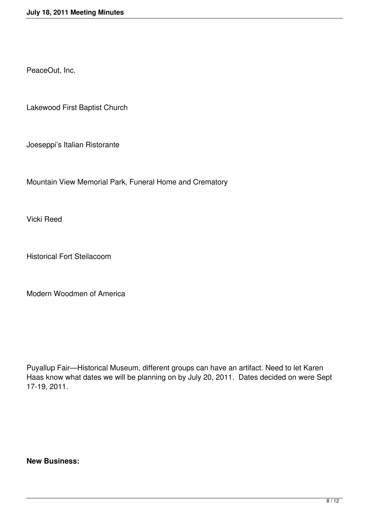PeaceOut, Inc.

Lakewood First Baptist Church

Joeseppi's Italian Ristorante

Mountain View Memorial Park, Funeral Home and Crematory

Vicki Reed

Historical Fort Steilacoom

Modern Woodmen of America

Puyallup Fair—Historical Museum, different groups can have an artifact. Need to let Karen Haas know what dates we will be planning on by July 20, 2011. Dates decided on were Sept 17-19, 2011.

**New Business:**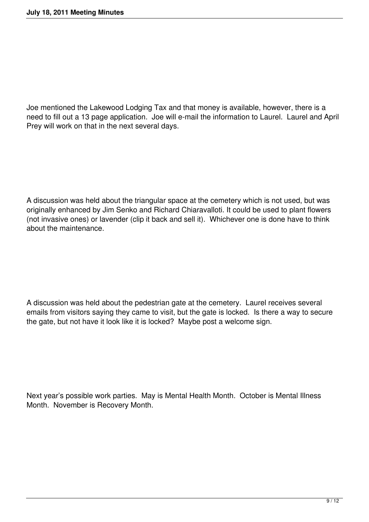Joe mentioned the Lakewood Lodging Tax and that money is available, however, there is a need to fill out a 13 page application. Joe will e-mail the information to Laurel. Laurel and April Prey will work on that in the next several days.

A discussion was held about the triangular space at the cemetery which is not used, but was originally enhanced by Jim Senko and Richard Chiaravalloti. It could be used to plant flowers (not invasive ones) or lavender (clip it back and sell it). Whichever one is done have to think about the maintenance.

A discussion was held about the pedestrian gate at the cemetery. Laurel receives several emails from visitors saying they came to visit, but the gate is locked. Is there a way to secure the gate, but not have it look like it is locked? Maybe post a welcome sign.

Next year's possible work parties. May is Mental Health Month. October is Mental Illness Month. November is Recovery Month.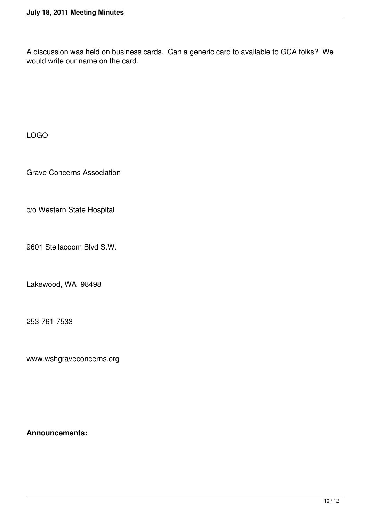A discussion was held on business cards. Can a generic card to available to GCA folks? We would write our name on the card.

LOGO

Grave Concerns Association

c/o Western State Hospital

9601 Steilacoom Blvd S.W.

Lakewood, WA 98498

253-761-7533

www.wshgraveconcerns.org

**Announcements:**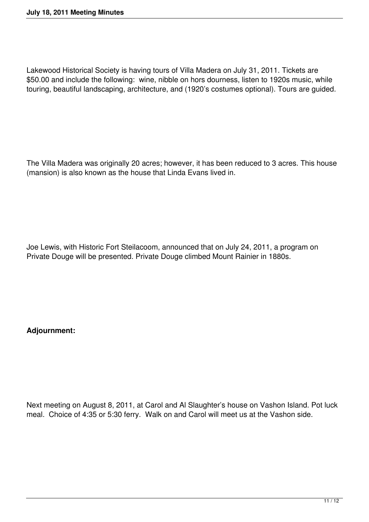Lakewood Historical Society is having tours of Villa Madera on July 31, 2011. Tickets are \$50.00 and include the following: wine, nibble on hors dourness, listen to 1920s music, while touring, beautiful landscaping, architecture, and (1920's costumes optional). Tours are guided.

The Villa Madera was originally 20 acres; however, it has been reduced to 3 acres. This house (mansion) is also known as the house that Linda Evans lived in.

Joe Lewis, with Historic Fort Steilacoom, announced that on July 24, 2011, a program on Private Douge will be presented. Private Douge climbed Mount Rainier in 1880s.

**Adjournment:**

Next meeting on August 8, 2011, at Carol and Al Slaughter's house on Vashon Island. Pot luck meal. Choice of 4:35 or 5:30 ferry. Walk on and Carol will meet us at the Vashon side.